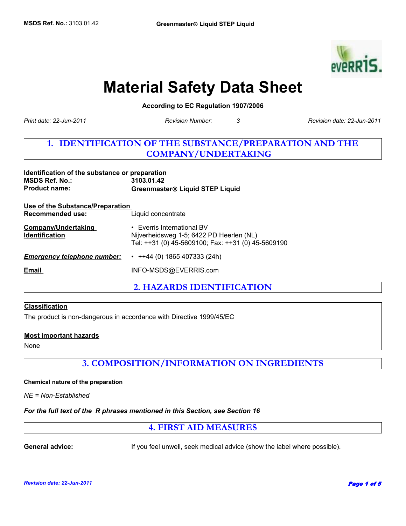

# **Material Safety Data Sheet**

**According to EC Regulation 1907/2006** 

*Print date: 22-Jun-2011*

*Revision Number: 3*

*Revision date: 22-Jun-2011*

# **1. IDENTIFICATION OF THE SUBSTANCE/PREPARATION AND THE COMPANY/UNDERTAKING**

| Identification of the substance or preparation<br><b>MSDS Ref. No.:</b><br><b>Product name:</b> | 3103.01.42<br><b>Greenmaster® Liquid STEP Liquid</b>                                                                         |  |
|-------------------------------------------------------------------------------------------------|------------------------------------------------------------------------------------------------------------------------------|--|
| Use of the Substance/Preparation<br><b>Recommended use:</b>                                     | Liquid concentrate                                                                                                           |  |
| <b>Company/Undertaking</b><br><b>Identification</b>                                             | • Everris International BV<br>Nijverheidsweg 1-5; 6422 PD Heerlen (NL)<br>Tel: ++31 (0) 45-5609100; Fax: ++31 (0) 45-5609190 |  |
| <b>Emergency telephone number:</b>                                                              | $\cdot$ ++44 (0) 1865 407333 (24h)                                                                                           |  |
| Email                                                                                           | INFO-MSDS@EVERRIS.com                                                                                                        |  |

**2. HAZARDS IDENTIFICATION**

## **Classification**

The product is non-dangerous in accordance with Directive 1999/45/EC

## **Most important hazards**

None

**3. COMPOSITION/INFORMATION ON INGREDIENTS**

### **Chemical nature of the preparation**

*NE = Non-Established*

## *For the full text of the R phrases mentioned in this Section, see Section 16*

**4. FIRST AID MEASURES**

**General advice:** If you feel unwell, seek medical advice (show the label where possible).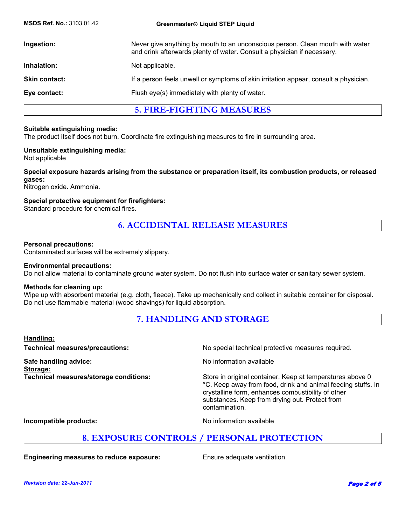| <b>MSDS Ref. No.: 3103.01.42</b> | Greenmaster® Liquid STEP Liquid                                                                                                                          |
|----------------------------------|----------------------------------------------------------------------------------------------------------------------------------------------------------|
| Ingestion:                       | Never give anything by mouth to an unconscious person. Clean mouth with water<br>and drink afterwards plenty of water. Consult a physician if necessary. |
| Inhalation:                      | Not applicable.                                                                                                                                          |
| <b>Skin contact:</b>             | If a person feels unwell or symptoms of skin irritation appear, consult a physician.                                                                     |
| Eye contact:                     | Flush eye(s) immediately with plenty of water.                                                                                                           |
|                                  | <b>5. FIRE-FIGHTING MEASURES</b>                                                                                                                         |

## **Suitable extinguishing media:**

The product itself does not burn. Coordinate fire extinguishing measures to fire in surrounding area.

### **Unsuitable extinguishing media:**

Not applicable

## **Special exposure hazards arising from the substance or preparation itself, its combustion products, or released gases:**

Nitrogen oxide. Ammonia.

## **Special protective equipment for firefighters:**

Standard procedure for chemical fires.

## **6. ACCIDENTAL RELEASE MEASURES**

### **Personal precautions:**

Contaminated surfaces will be extremely slippery.

### **Environmental precautions:**

Do not allow material to contaminate ground water system. Do not flush into surface water or sanitary sewer system.

### **Methods for cleaning up:**

Wipe up with absorbent material (e.g. cloth, fleece). Take up mechanically and collect in suitable container for disposal. Do not use flammable material (wood shavings) for liquid absorption.

| <b>7. HANDLING AND STORAGE</b> |
|--------------------------------|
|--------------------------------|

### **Handling:**

**Technical measures/precautions:** No special technical protective measures required. **Safe handling advice:** No information available **Storage: Technical measures/storage conditions:** Store in original container. Keep at temperatures above 0 °C. Keep away from food, drink and animal feeding stuffs. In crystalline form, enhances combustibility of other substances. Keep from drying out. Protect from contamination.

**Incompatible products:** No information available

## **8. EXPOSURE CONTROLS / PERSONAL PROTECTION**

**Engineering measures to reduce exposure:** Ensure adequate ventilation.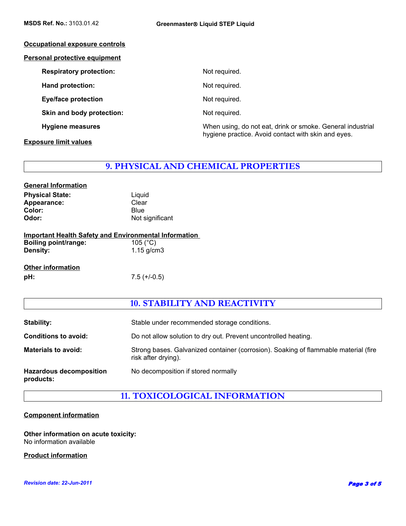| Occupational exposure controls       |                                                                                                                   |
|--------------------------------------|-------------------------------------------------------------------------------------------------------------------|
| <b>Personal protective equipment</b> |                                                                                                                   |
| <b>Respiratory protection:</b>       | Not required.                                                                                                     |
| Hand protection:                     | Not required.                                                                                                     |
| <b>Eye/face protection</b>           | Not required.                                                                                                     |
| Skin and body protection:            | Not required.                                                                                                     |
| <b>Hygiene measures</b>              | When using, do not eat, drink or smoke. General industrial<br>hygiene practice. Avoid contact with skin and eyes. |

## **Exposure limit values**

## **9. PHYSICAL AND CHEMICAL PROPERTIES**

| Liguid          |
|-----------------|
| Clear           |
| <b>Blue</b>     |
| Not significant |
|                 |

|                             | <b>Important Health Safety and Environmental Information</b> |
|-----------------------------|--------------------------------------------------------------|
| <b>Boiling point/range:</b> | 105 ( $^{\circ}$ C)                                          |

| סעוויוש פטוויטש. | 100(01)      |
|------------------|--------------|
| <b>Density:</b>  | 1.15 $g/cm3$ |
|                  |              |

**Other information pH:** 7.5 (+/-0.5)

## **10. STABILITY AND REACTIVITY**

| Stability:                                  | Stable under recommended storage conditions.                                                               |
|---------------------------------------------|------------------------------------------------------------------------------------------------------------|
| <b>Conditions to avoid:</b>                 | Do not allow solution to dry out. Prevent uncontrolled heating.                                            |
| <b>Materials to avoid:</b>                  | Strong bases. Galvanized container (corrosion). Soaking of flammable material (fire<br>risk after drying). |
| <b>Hazardous decomposition</b><br>products: | No decomposition if stored normally                                                                        |

**11. TOXICOLOGICAL INFORMATION**

## **Component information**

**Other information on acute toxicity:** No information available

**Product information**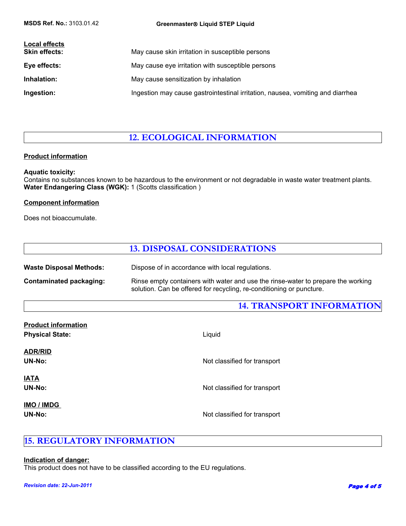| <b>Local effects</b><br><b>Skin effects:</b> | May cause skin irritation in susceptible persons                               |
|----------------------------------------------|--------------------------------------------------------------------------------|
| Eye effects:                                 | May cause eye irritation with susceptible persons                              |
| Inhalation:                                  | May cause sensitization by inhalation                                          |
| Ingestion:                                   | Ingestion may cause gastrointestinal irritation, nausea, vomiting and diarrhea |

# **12. ECOLOGICAL INFORMATION**

## **Product information**

## **Aquatic toxicity:**

Contains no substances known to be hazardous to the environment or not degradable in waste water treatment plants. **Water Endangering Class (WGK):** 1 (Scotts classification )

## **Component information**

Does not bioaccumulate.

## **13. DISPOSAL CONSIDERATIONS**

Waste Disposal Methods: Dispose of in accordance with local regulations.

**Contaminated packaging:** Rinse empty containers with water and use the rinse-water to prepare the working solution. Can be offered for recycling, re-conditioning or puncture.

## **14. TRANSPORT INFORMATION**

| <b>Product information</b> |                              |
|----------------------------|------------------------------|
| <b>Physical State:</b>     | Liquid                       |
| <b>ADR/RID</b>             |                              |
| UN-No:                     | Not classified for transport |
| <u>IATA</u>                |                              |
|                            |                              |
| UN-No:                     | Not classified for transport |
| <b>IMO / IMDG</b>          |                              |
| UN-No:                     | Not classified for transport |
|                            |                              |

# **15. REGULATORY INFORMATION**

## **Indication of danger:**

This product does not have to be classified according to the EU regulations.